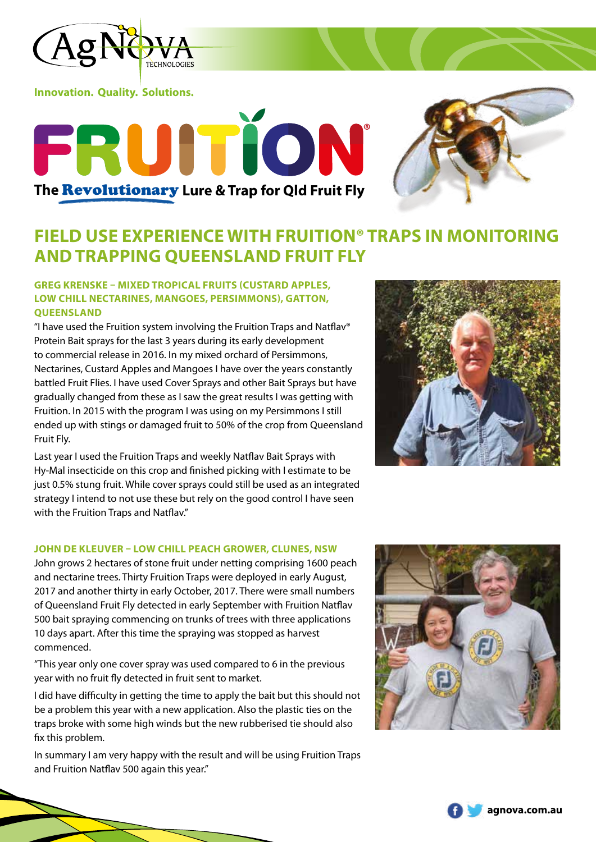

**Innovation. Quality. Solutions.**



# **FIELD USE EXPERIENCE WITH FRUITION® TRAPS IN MONITORING AND TRAPPING QUEENSLAND FRUIT FLY**

## **GREG KRENSKE – MIXED TROPICAL FRUITS (CUSTARD APPLES, LOW CHILL NECTARINES, MANGOES, PERSIMMONS), GATTON, QUEENSLAND**

**The** Revolutionary **Lure & Trap for Qld Fruit Fly**

RUITION

"I have used the Fruition system involving the Fruition Traps and Natflav® Protein Bait sprays for the last 3 years during its early development to commercial release in 2016. In my mixed orchard of Persimmons, Nectarines, Custard Apples and Mangoes I have over the years constantly battled Fruit Flies. I have used Cover Sprays and other Bait Sprays but have gradually changed from these as I saw the great results I was getting with Fruition. In 2015 with the program I was using on my Persimmons I still ended up with stings or damaged fruit to 50% of the crop from Queensland Fruit Fly.

Last year I used the Fruition Traps and weekly Natflav Bait Sprays with Hy-Mal insecticide on this crop and finished picking with I estimate to be just 0.5% stung fruit. While cover sprays could still be used as an integrated strategy I intend to not use these but rely on the good control I have seen with the Fruition Traps and Natflav."

#### **JOHN DE KLEUVER – LOW CHILL PEACH GROWER, CLUNES, NSW**

John grows 2 hectares of stone fruit under netting comprising 1600 peach and nectarine trees. Thirty Fruition Traps were deployed in early August, 2017 and another thirty in early October, 2017. There were small numbers of Queensland Fruit Fly detected in early September with Fruition Natflav 500 bait spraying commencing on trunks of trees with three applications 10 days apart. After this time the spraying was stopped as harvest commenced.

"This year only one cover spray was used compared to 6 in the previous year with no fruit fly detected in fruit sent to market.

I did have difficulty in getting the time to apply the bait but this should not be a problem this year with a new application. Also the plastic ties on the traps broke with some high winds but the new rubberised tie should also fix this problem.

In summary I am very happy with the result and will be using Fruition Traps and Fruition Natflav 500 again this year."